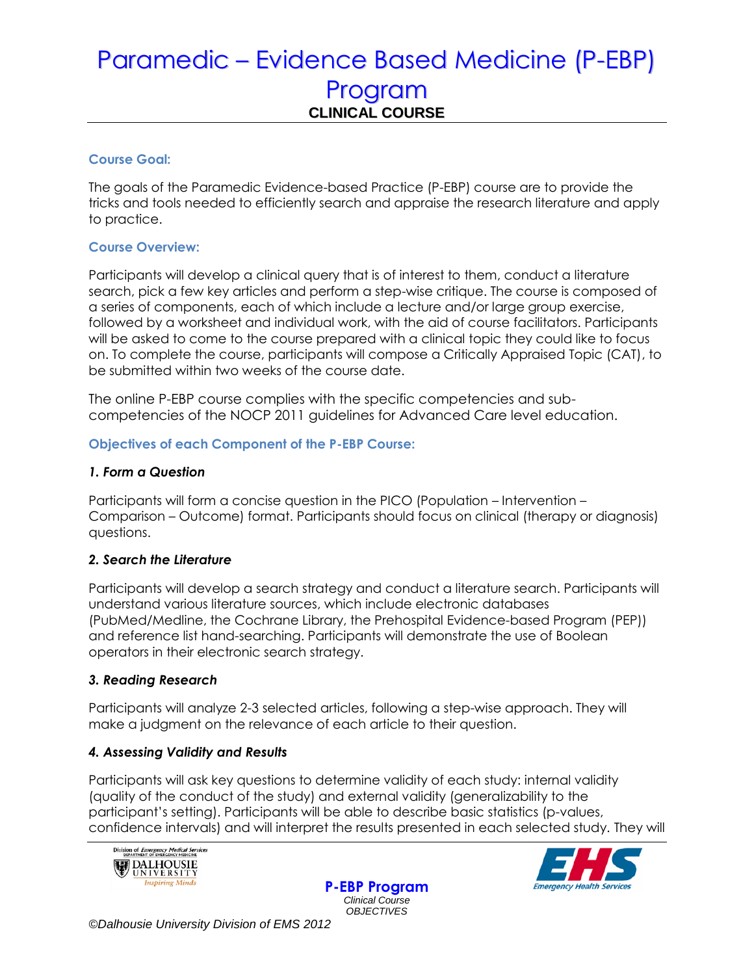# Paramedic – Evidence Based Medicine (P-EBP) Program **CLINICAL COURSE**

### **Course Goal:**

The goals of the Paramedic Evidence-based Practice (P-EBP) course are to provide the tricks and tools needed to efficiently search and appraise the research literature and apply to practice.

### **Course Overview:**

Participants will develop a clinical query that is of interest to them, conduct a literature search, pick a few key articles and perform a step-wise critique. The course is composed of a series of components, each of which include a lecture and/or large group exercise, followed by a worksheet and individual work, with the aid of course facilitators. Participants will be asked to come to the course prepared with a clinical topic they could like to focus on. To complete the course, participants will compose a Critically Appraised Topic (CAT), to be submitted within two weeks of the course date.

The online P-EBP course complies with the specific competencies and subcompetencies of the NOCP 2011 guidelines for Advanced Care level education.

#### **Objectives of each Component of the P-EBP Course:**

#### *1. Form a Question*

Participants will form a concise question in the PICO (Population – Intervention – Comparison – Outcome) format. Participants should focus on clinical (therapy or diagnosis) questions.

### *2. Search the Literature*

Participants will develop a search strategy and conduct a literature search. Participants will understand various literature sources, which include electronic databases (PubMed/Medline, the Cochrane Library, the Prehospital Evidence-based Program (PEP)) and reference list hand-searching. Participants will demonstrate the use of Boolean operators in their electronic search strategy.

### *3. Reading Research*

Participants will analyze 2-3 selected articles, following a step-wise approach. They will make a judgment on the relevance of each article to their question.

### *4. Assessing Validity and Results*

Participants will ask key questions to determine validity of each study: internal validity (quality of the conduct of the study) and external validity (generalizability to the participant's setting). Participants will be able to describe basic statistics (p-values, confidence intervals) and will interpret the results presented in each selected study. They will





**P-EBP Program** *Clinical Course OBJECTIVES*